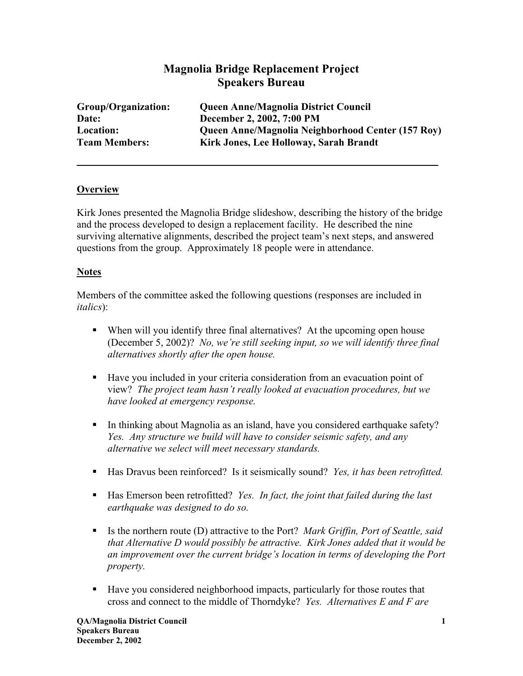# **Magnolia Bridge Replacement Project Speakers Bureau**

| Group/Organization:  | <b>Queen Anne/Magnolia District Council</b>       |
|----------------------|---------------------------------------------------|
| Date:                | December 2, 2002, 7:00 PM                         |
| <b>Location:</b>     | Queen Anne/Magnolia Neighborhood Center (157 Roy) |
| <b>Team Members:</b> | Kirk Jones, Lee Holloway, Sarah Brandt            |

### **Overview**

Kirk Jones presented the Magnolia Bridge slideshow, describing the history of the bridge and the process developed to design a replacement facility. He described the nine surviving alternative alignments, described the project team's next steps, and answered questions from the group. Approximately 18 people were in attendance.

### **Notes**

Members of the committee asked the following questions (responses are included in *italics*):

- When will you identify three final alternatives? At the upcoming open house (December 5, 2002)? *No, we're still seeking input, so we will identify three final alternatives shortly after the open house.*
- Have you included in your criteria consideration from an evacuation point of view? *The project team hasn't really looked at evacuation procedures, but we have looked at emergency response.*
- In thinking about Magnolia as an island, have you considered earthquake safety? *Yes. Any structure we build will have to consider seismic safety, and any alternative we select will meet necessary standards.*
- Has Dravus been reinforced? Is it seismically sound? *Yes, it has been retrofitted.*
- Has Emerson been retrofitted? *Yes. In fact, the joint that failed during the last earthquake was designed to do so.*
- Is the northern route (D) attractive to the Port? *Mark Griffin, Port of Seattle, said that Alternative D would possibly be attractive. Kirk Jones added that it would be an improvement over the current bridge's location in terms of developing the Port property.*
- Have you considered neighborhood impacts, particularly for those routes that cross and connect to the middle of Thorndyke? *Yes. Alternatives E and F are*